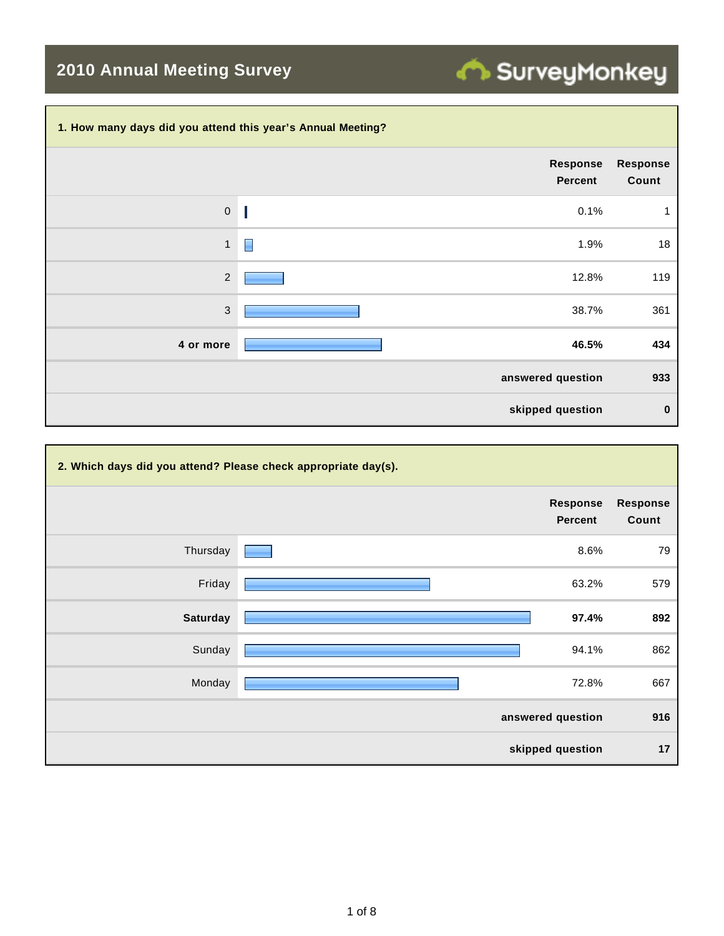## SurveyMonkey

## **2010 Annual Meeting Survey**

## **1. How many days did you attend this year's Annual Meeting?**

|                | Response<br><b>Percent</b> | <b>Response</b><br>Count |
|----------------|----------------------------|--------------------------|
| $\mathbf 0$    | 0.1%                       | 1                        |
| $\mathbf{1}$   | 1.9%                       | 18                       |
| $\overline{2}$ | 12.8%                      | 119                      |
| $\mathbf{3}$   | 38.7%                      | 361                      |
| 4 or more      | 46.5%                      | 434                      |
|                | answered question          | 933                      |
|                | skipped question           | $\bf{0}$                 |

| 2. Which days did you attend? Please check appropriate day(s). |  |                                   |                          |  |  |
|----------------------------------------------------------------|--|-----------------------------------|--------------------------|--|--|
|                                                                |  | <b>Response</b><br><b>Percent</b> | <b>Response</b><br>Count |  |  |
| Thursday                                                       |  | 8.6%                              | 79                       |  |  |
| Friday                                                         |  | 63.2%                             | 579                      |  |  |
| <b>Saturday</b>                                                |  | 97.4%                             | 892                      |  |  |
| Sunday                                                         |  | 94.1%                             | 862                      |  |  |
| Monday                                                         |  | 72.8%                             | 667                      |  |  |
|                                                                |  | answered question                 | 916                      |  |  |
|                                                                |  | skipped question                  | 17                       |  |  |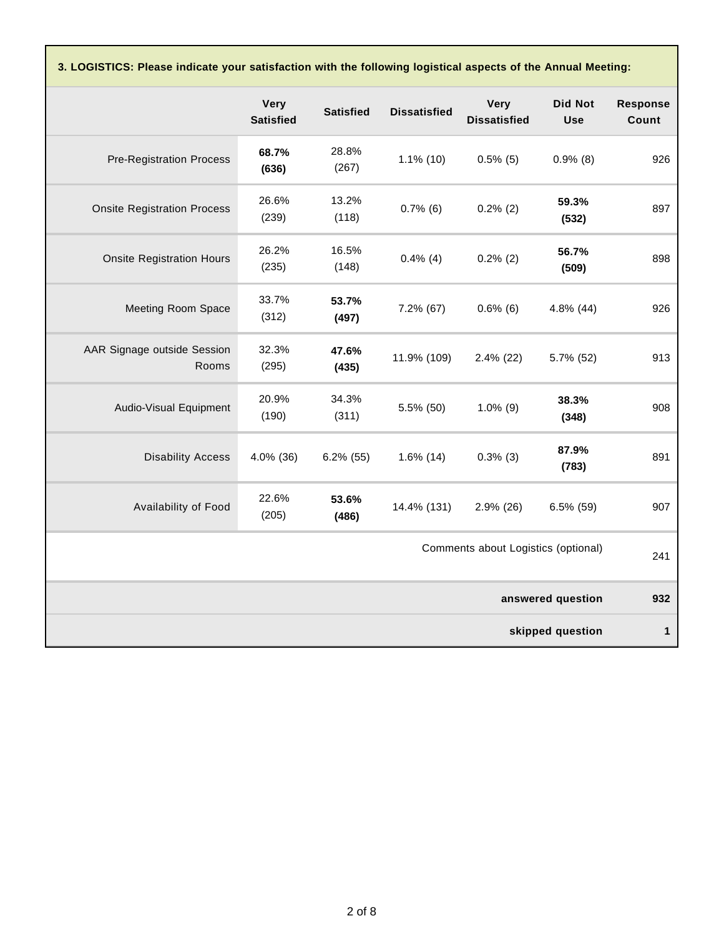**3. LOGISTICS: Please indicate your satisfaction with the following logistical aspects of the Annual Meeting:**

|                                      | Very<br><b>Satisfied</b> | <b>Satisfied</b> | <b>Dissatisfied</b> | <b>Very</b><br><b>Dissatisfied</b> | <b>Did Not</b><br><b>Use</b> | <b>Response</b><br>Count |
|--------------------------------------|--------------------------|------------------|---------------------|------------------------------------|------------------------------|--------------------------|
| <b>Pre-Registration Process</b>      | 68.7%<br>(636)           | 28.8%<br>(267)   | $1.1\%$ (10)        | $0.5\%$ (5)                        | $0.9\%$ (8)                  | 926                      |
| <b>Onsite Registration Process</b>   | 26.6%<br>(239)           | 13.2%<br>(118)   | $0.7\%$ (6)         | $0.2\%$ (2)                        | 59.3%<br>(532)               | 897                      |
| <b>Onsite Registration Hours</b>     | 26.2%<br>(235)           | 16.5%<br>(148)   | $0.4\%$ (4)         | $0.2\%$ (2)                        | 56.7%<br>(509)               | 898                      |
| Meeting Room Space                   | 33.7%<br>(312)           | 53.7%<br>(497)   | 7.2% (67)           | $0.6\%$ (6)                        | 4.8% (44)                    | 926                      |
| AAR Signage outside Session<br>Rooms | 32.3%<br>(295)           | 47.6%<br>(435)   | 11.9% (109)         | $2.4\%$ (22)                       | 5.7% (52)                    | 913                      |
| Audio-Visual Equipment               | 20.9%<br>(190)           | 34.3%<br>(311)   | 5.5% (50)           | $1.0\%$ (9)                        | 38.3%<br>(348)               | 908                      |
| <b>Disability Access</b>             | 4.0% (36)                | $6.2\%$ (55)     | $1.6\%$ (14)        | $0.3\%$ (3)                        | 87.9%<br>(783)               | 891                      |
| Availability of Food                 | 22.6%<br>(205)           | 53.6%<br>(486)   | 14.4% (131)         | $2.9\%$ (26)                       | $6.5\%$ (59)                 | 907                      |
| Comments about Logistics (optional)  |                          |                  |                     |                                    | 241                          |                          |
|                                      |                          |                  |                     |                                    | answered question            | 932                      |
|                                      |                          |                  |                     |                                    | skipped question             | $\mathbf{1}$             |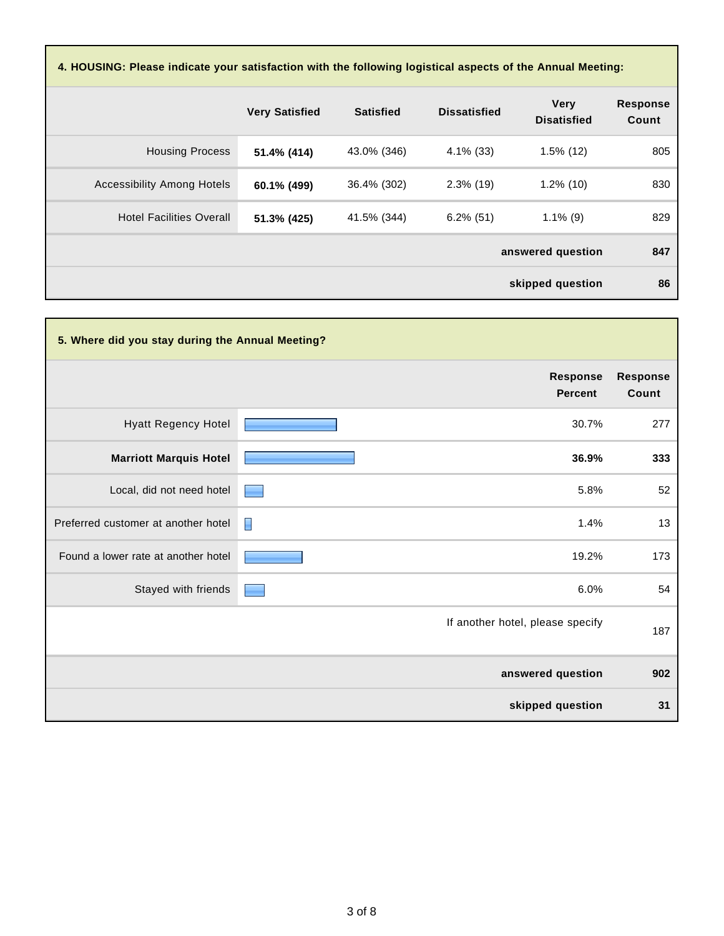| 4. HOUSING: Please indicate your satisfaction with the following logistical aspects of the Annual Meeting: |                       |                  |                     |                                   |                          |  |
|------------------------------------------------------------------------------------------------------------|-----------------------|------------------|---------------------|-----------------------------------|--------------------------|--|
|                                                                                                            | <b>Very Satisfied</b> | <b>Satisfied</b> | <b>Dissatisfied</b> | <b>Very</b><br><b>Disatisfied</b> | <b>Response</b><br>Count |  |
| <b>Housing Process</b>                                                                                     | 51.4% (414)           | 43.0% (346)      | $4.1\%$ (33)        | $1.5\%$ (12)                      | 805                      |  |
| <b>Accessibility Among Hotels</b>                                                                          | 60.1% (499)           | 36.4% (302)      | $2.3\%$ (19)        | $1.2\%$ (10)                      | 830                      |  |
| <b>Hotel Facilities Overall</b>                                                                            | 51.3% (425)           | 41.5% (344)      | $6.2\%$ (51)        | $1.1\%$ (9)                       | 829                      |  |
|                                                                                                            |                       |                  |                     | answered question                 | 847                      |  |
|                                                                                                            |                       |                  |                     | skipped question                  | 86                       |  |

| 5. Where did you stay during the Annual Meeting? |                                   |                          |
|--------------------------------------------------|-----------------------------------|--------------------------|
|                                                  | <b>Response</b><br><b>Percent</b> | <b>Response</b><br>Count |
| <b>Hyatt Regency Hotel</b>                       | 30.7%                             | 277                      |
| <b>Marriott Marquis Hotel</b>                    | 36.9%                             | 333                      |
| Local, did not need hotel                        | 5.8%                              | 52                       |
| Preferred customer at another hotel              | 1.4%<br>E                         | 13                       |
| Found a lower rate at another hotel              | 19.2%                             | 173                      |
| Stayed with friends                              | 6.0%                              | 54                       |
|                                                  | If another hotel, please specify  | 187                      |
|                                                  | answered question                 | 902                      |
|                                                  | skipped question                  | 31                       |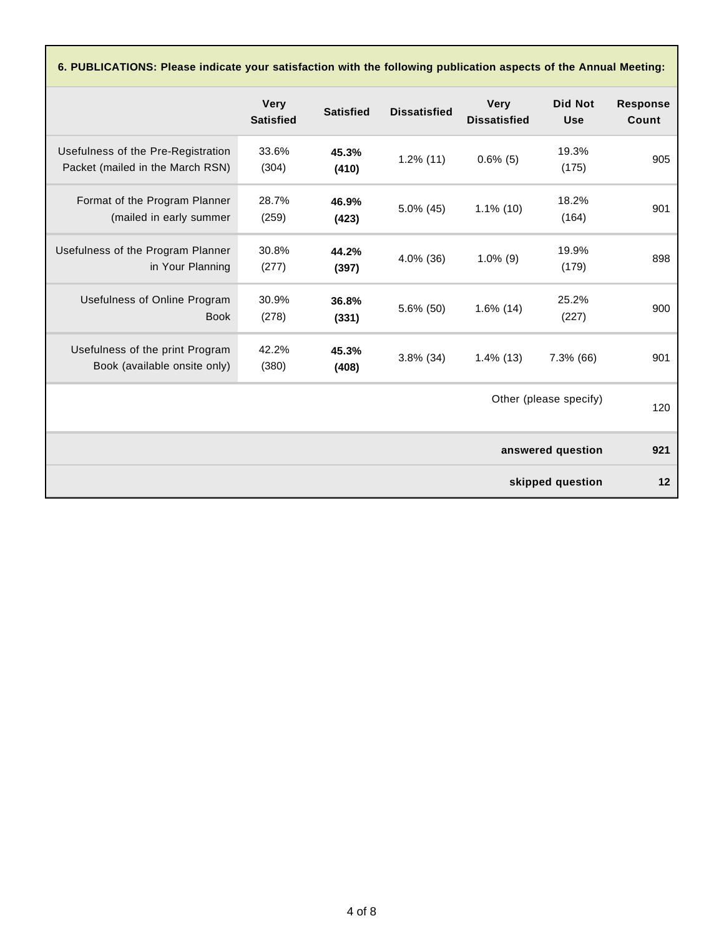**6. PUBLICATIONS: Please indicate your satisfaction with the following publication aspects of the Annual Meeting:**

|                                                                        | <b>Very</b><br><b>Satisfied</b> | <b>Satisfied</b> | <b>Dissatisfied</b> | <b>Very</b><br><b>Dissatisfied</b> | <b>Did Not</b><br><b>Use</b> | <b>Response</b><br>Count |
|------------------------------------------------------------------------|---------------------------------|------------------|---------------------|------------------------------------|------------------------------|--------------------------|
| Usefulness of the Pre-Registration<br>Packet (mailed in the March RSN) | 33.6%<br>(304)                  | 45.3%<br>(410)   | $1.2\%$ (11)        | $0.6\%$ (5)                        | 19.3%<br>(175)               | 905                      |
| Format of the Program Planner<br>(mailed in early summer               | 28.7%<br>(259)                  | 46.9%<br>(423)   | $5.0\%$ (45)        | $1.1\%$ (10)                       | 18.2%<br>(164)               | 901                      |
| Usefulness of the Program Planner<br>in Your Planning                  | 30.8%<br>(277)                  | 44.2%<br>(397)   | 4.0% (36)           | $1.0\%$ (9)                        | 19.9%<br>(179)               | 898                      |
| Usefulness of Online Program<br><b>Book</b>                            | 30.9%<br>(278)                  | 36.8%<br>(331)   | 5.6% (50)           | $1.6\%$ (14)                       | 25.2%<br>(227)               | 900                      |
| Usefulness of the print Program<br>Book (available onsite only)        | 42.2%<br>(380)                  | 45.3%<br>(408)   | $3.8\%$ (34)        | $1.4\%$ (13)                       | 7.3% (66)                    | 901                      |
|                                                                        |                                 |                  |                     |                                    | Other (please specify)       | 120                      |
|                                                                        |                                 |                  |                     |                                    | answered question            | 921                      |
|                                                                        |                                 |                  |                     |                                    | skipped question             | 12                       |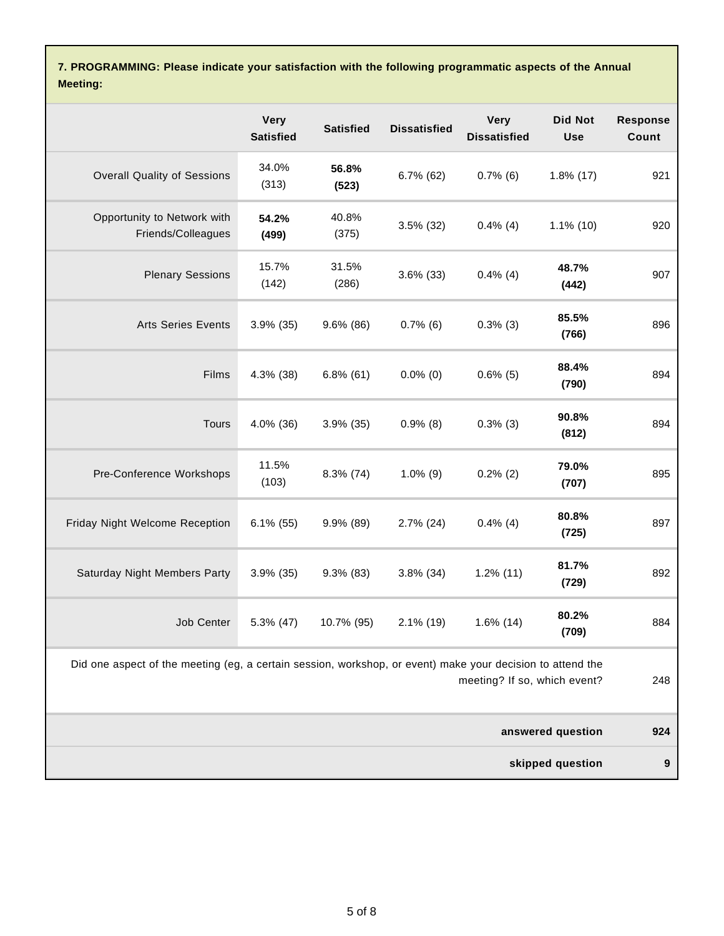**7. PROGRAMMING: Please indicate your satisfaction with the following programmatic aspects of the Annual Meeting:**

|                                                                                                            | <b>Very</b><br><b>Satisfied</b> | <b>Satisfied</b> | <b>Dissatisfied</b> | <b>Very</b><br><b>Dissatisfied</b> | <b>Did Not</b><br><b>Use</b> | <b>Response</b><br>Count |
|------------------------------------------------------------------------------------------------------------|---------------------------------|------------------|---------------------|------------------------------------|------------------------------|--------------------------|
| <b>Overall Quality of Sessions</b>                                                                         | 34.0%<br>(313)                  | 56.8%<br>(523)   | $6.7\%$ (62)        | $0.7\%$ (6)                        | $1.8\%$ (17)                 | 921                      |
| Opportunity to Network with<br>Friends/Colleagues                                                          | 54.2%<br>(499)                  | 40.8%<br>(375)   | $3.5\%$ (32)        | $0.4\%$ (4)                        | $1.1\%$ (10)                 | 920                      |
| <b>Plenary Sessions</b>                                                                                    | 15.7%<br>(142)                  | 31.5%<br>(286)   | $3.6\%$ (33)        | $0.4\%$ (4)                        | 48.7%<br>(442)               | 907                      |
| <b>Arts Series Events</b>                                                                                  | $3.9\%$ (35)                    | $9.6\%$ (86)     | $0.7\%$ (6)         | $0.3\%$ (3)                        | 85.5%<br>(766)               | 896                      |
| Films                                                                                                      | 4.3% (38)                       | $6.8\%$ (61)     | $0.0\%$ (0)         | $0.6\%$ (5)                        | 88.4%<br>(790)               | 894                      |
| <b>Tours</b>                                                                                               | 4.0% (36)                       | $3.9\%$ (35)     | $0.9\%$ (8)         | $0.3\%$ (3)                        | 90.8%<br>(812)               | 894                      |
| Pre-Conference Workshops                                                                                   | 11.5%<br>(103)                  | $8.3\%$ (74)     | $1.0\%$ (9)         | $0.2\%$ (2)                        | 79.0%<br>(707)               | 895                      |
| Friday Night Welcome Reception                                                                             | $6.1\%$ (55)                    | $9.9\%$ (89)     | $2.7\%$ (24)        | $0.4\%$ (4)                        | 80.8%<br>(725)               | 897                      |
| Saturday Night Members Party                                                                               | 3.9% (35)                       | $9.3\%$ (83)     | $3.8\%$ (34)        | $1.2\%$ (11)                       | 81.7%<br>(729)               | 892                      |
| Job Center                                                                                                 | 5.3% (47)                       | 10.7% (95)       | $2.1\%$ (19)        | $1.6\%$ (14)                       | 80.2%<br>(709)               | 884                      |
| Did one aspect of the meeting (eg, a certain session, workshop, or event) make your decision to attend the |                                 |                  |                     | meeting? If so, which event?       |                              | 248                      |
|                                                                                                            |                                 |                  |                     |                                    | answered question            | 924                      |
|                                                                                                            |                                 |                  |                     |                                    | skipped question             | 9                        |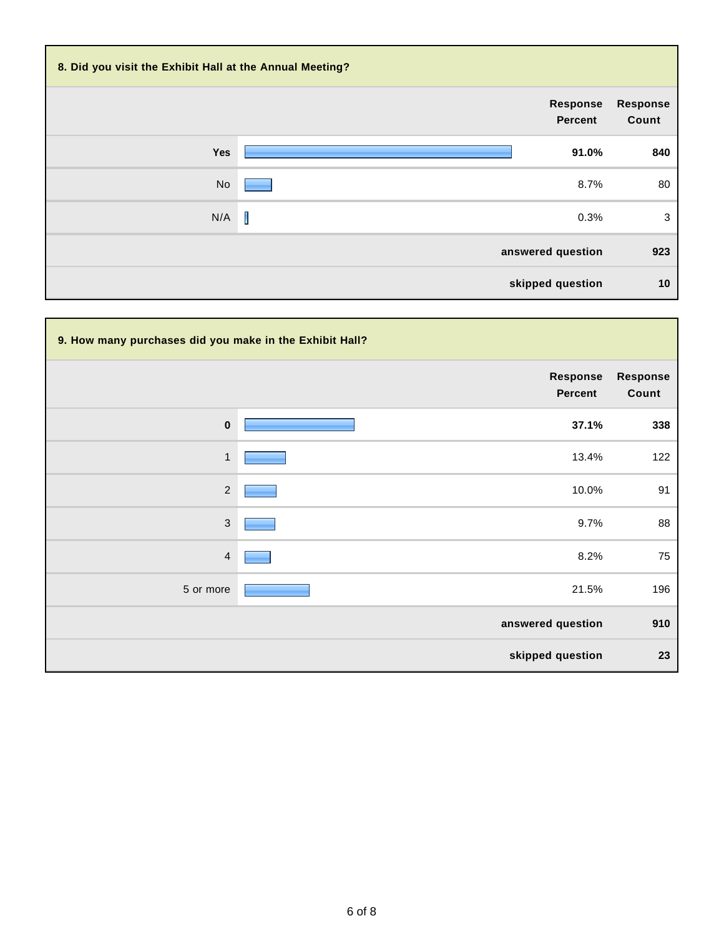| 8. Did you visit the Exhibit Hall at the Annual Meeting? |                                   |                          |
|----------------------------------------------------------|-----------------------------------|--------------------------|
|                                                          | <b>Response</b><br><b>Percent</b> | <b>Response</b><br>Count |
| Yes                                                      | 91.0%                             | 840                      |
| No                                                       | 8.7%                              | 80                       |
| N/A                                                      | I<br>0.3%                         | 3                        |
|                                                          | answered question                 | 923                      |
|                                                          | skipped question                  | 10                       |

| 9. How many purchases did you make in the Exhibit Hall? |  |                            |                          |  |  |
|---------------------------------------------------------|--|----------------------------|--------------------------|--|--|
|                                                         |  | <b>Response</b><br>Percent | <b>Response</b><br>Count |  |  |
| $\pmb{0}$                                               |  | 37.1%                      | 338                      |  |  |
| $\mathbf{1}$                                            |  | 13.4%                      | 122                      |  |  |
| $\sqrt{2}$                                              |  | 10.0%                      | 91                       |  |  |
| $\sqrt{3}$                                              |  | 9.7%                       | 88                       |  |  |
| $\overline{4}$                                          |  | 8.2%                       | 75                       |  |  |
| 5 or more                                               |  | 21.5%                      | 196                      |  |  |
|                                                         |  | answered question          | 910                      |  |  |
|                                                         |  | skipped question           | 23                       |  |  |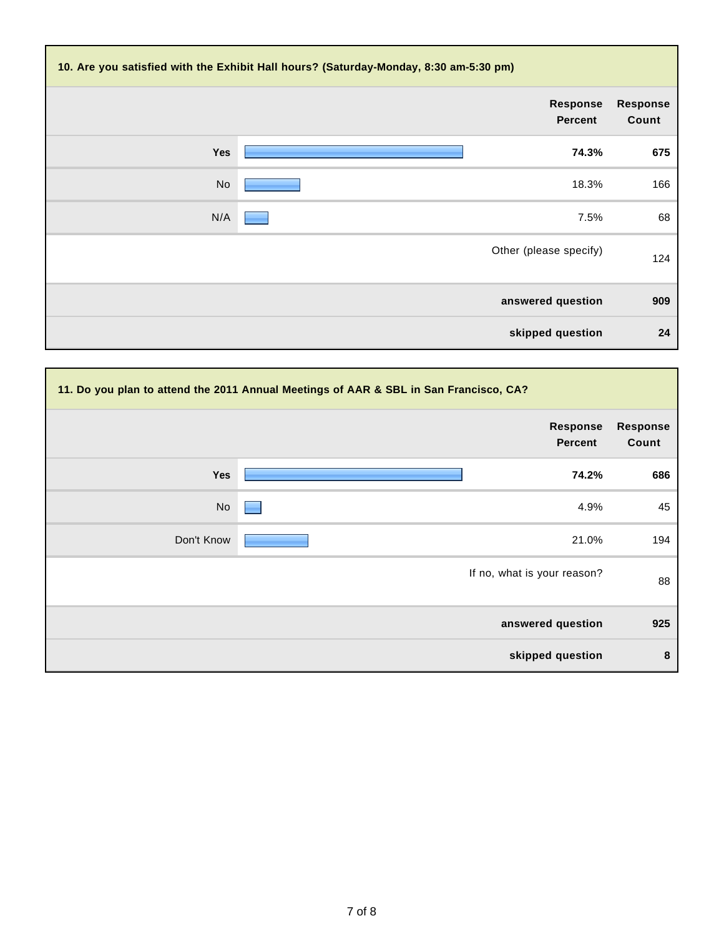|                          | 10. Are you satisfied with the Exhibit Hall hours? (Saturday-Monday, 8:30 am-5:30 pm) |           |
|--------------------------|---------------------------------------------------------------------------------------|-----------|
| <b>Response</b><br>Count | <b>Response</b><br>Percent                                                            |           |
| 675                      | 74.3%                                                                                 | Yes       |
| 166                      | 18.3%                                                                                 | <b>No</b> |
| 68                       | 7.5%                                                                                  | N/A       |
| 124                      | Other (please specify)                                                                |           |
| 909                      | answered question                                                                     |           |
| 24                       | skipped question                                                                      |           |

|            | 11. Do you plan to attend the 2011 Annual Meetings of AAR & SBL in San Francisco, CA? |                          |
|------------|---------------------------------------------------------------------------------------|--------------------------|
|            | <b>Response</b><br><b>Percent</b>                                                     | <b>Response</b><br>Count |
| Yes        | 74.2%                                                                                 | 686                      |
| No         | 4.9%                                                                                  | 45                       |
| Don't Know | 21.0%                                                                                 | 194                      |
|            | If no, what is your reason?                                                           | 88                       |
|            | answered question                                                                     | 925                      |
|            | skipped question                                                                      | 8                        |